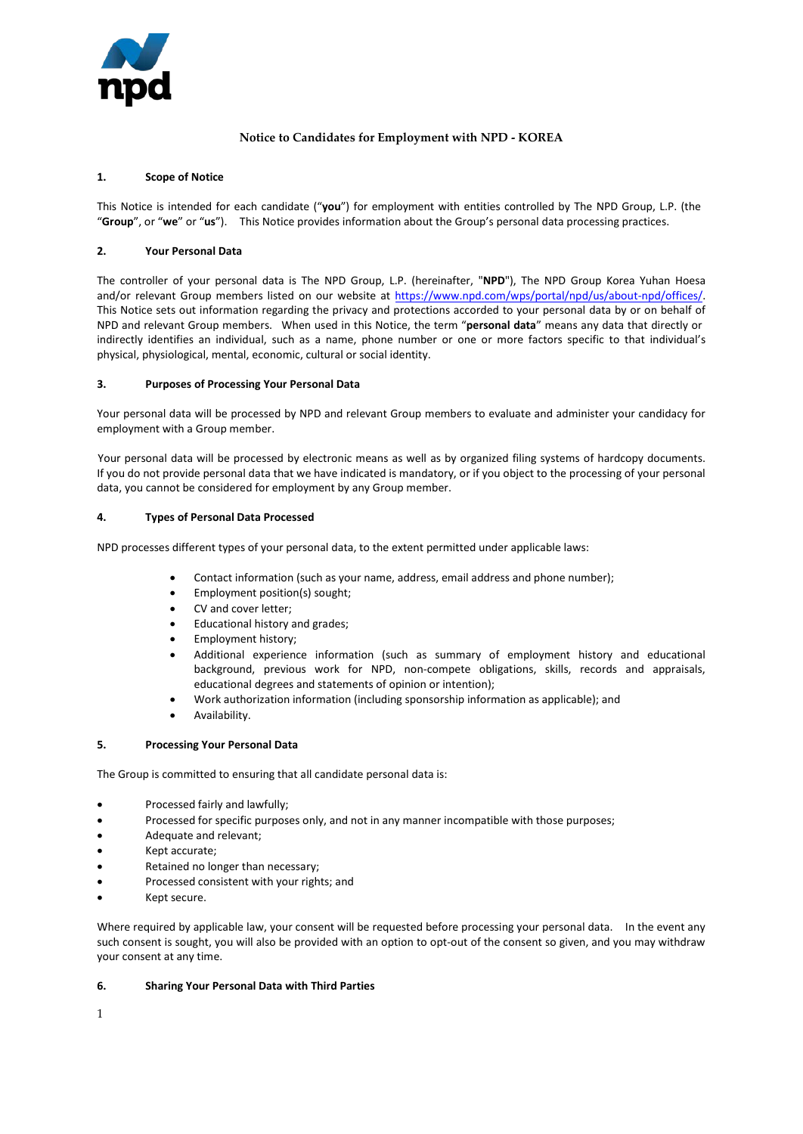

# **Notice to Candidates for Employment with NPD - KOREA**

## **1. Scope of Notice**

This Notice is intended for each candidate ("**you**") for employment with entities controlled by The NPD Group, L.P. (the "**Group**", or "**we**" or "**us**"). This Notice provides information about the Group's personal data processing practices.

## **2. Your Personal Data**

The controller of your personal data is The NPD Group, L.P. (hereinafter, "**NPD**"), The NPD Group Korea Yuhan Hoesa and/or relevant Group members listed on our website at https://www.npd.com/wps/portal/npd/us/about-npd/offices/. This Notice sets out information regarding the privacy and protections accorded to your personal data by or on behalf of NPD and relevant Group members. When used in this Notice, the term "**personal data**" means any data that directly or indirectly identifies an individual, such as a name, phone number or one or more factors specific to that individual's physical, physiological, mental, economic, cultural or social identity.

#### **3. Purposes of Processing Your Personal Data**

Your personal data will be processed by NPD and relevant Group members to evaluate and administer your candidacy for employment with a Group member.

Your personal data will be processed by electronic means as well as by organized filing systems of hardcopy documents. If you do not provide personal data that we have indicated is mandatory, or if you object to the processing of your personal data, you cannot be considered for employment by any Group member.

#### **4. Types of Personal Data Processed**

NPD processes different types of your personal data, to the extent permitted under applicable laws:

- Contact information (such as your name, address, email address and phone number);
- Employment position(s) sought;
- CV and cover letter;
- Educational history and grades;
- Employment history;
- Additional experience information (such as summary of employment history and educational background, previous work for NPD, non-compete obligations, skills, records and appraisals, educational degrees and statements of opinion or intention);
- Work authorization information (including sponsorship information as applicable); and
- Availability.

#### **5. Processing Your Personal Data**

The Group is committed to ensuring that all candidate personal data is:

- Processed fairly and lawfully;
- Processed for specific purposes only, and not in any manner incompatible with those purposes;
- Adequate and relevant;
- Kept accurate;
- Retained no longer than necessary;
- Processed consistent with your rights; and
- Kept secure.

Where required by applicable law, your consent will be requested before processing your personal data. In the event any such consent is sought, you will also be provided with an option to opt-out of the consent so given, and you may withdraw your consent at any time.

#### **6. Sharing Your Personal Data with Third Parties**

1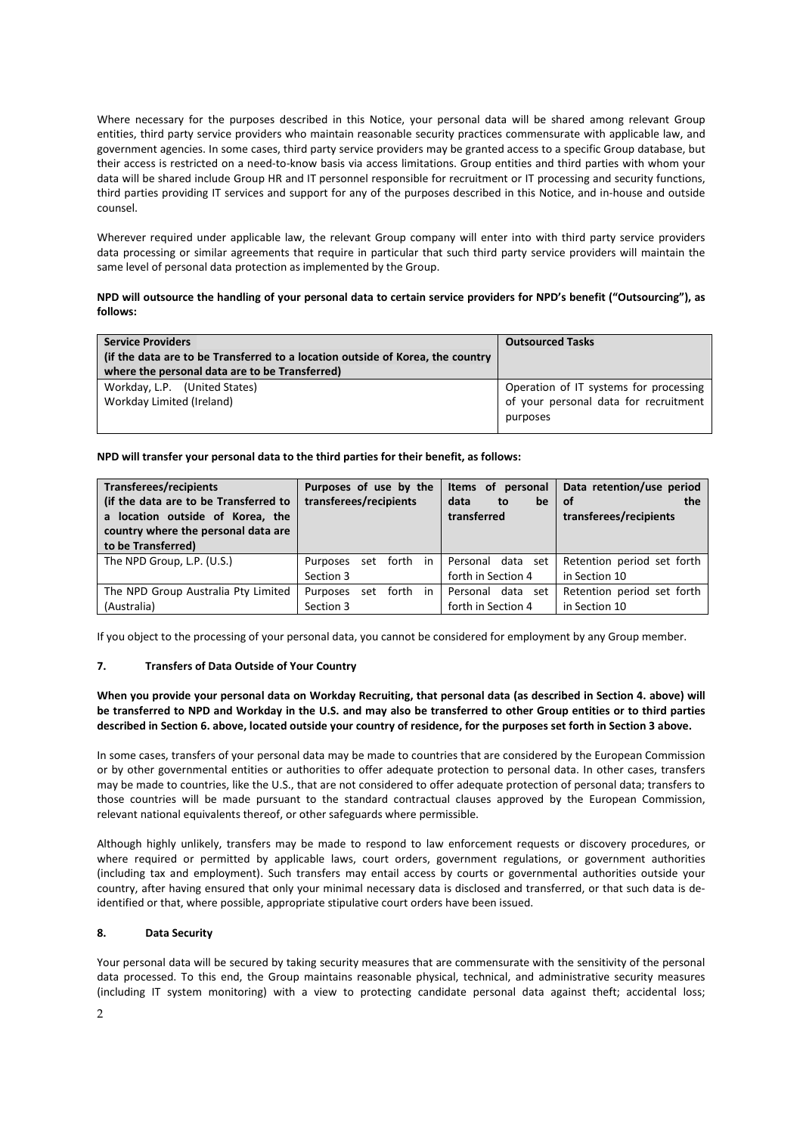Where necessary for the purposes described in this Notice, your personal data will be shared among relevant Group entities, third party service providers who maintain reasonable security practices commensurate with applicable law, and government agencies. In some cases, third party service providers may be granted access to a specific Group database, but their access is restricted on a need-to-know basis via access limitations. Group entities and third parties with whom your data will be shared include Group HR and IT personnel responsible for recruitment or IT processing and security functions, third parties providing IT services and support for any of the purposes described in this Notice, and in-house and outside counsel.

Wherever required under applicable law, the relevant Group company will enter into with third party service providers data processing or similar agreements that require in particular that such third party service providers will maintain the same level of personal data protection as implemented by the Group.

# **NPD will outsource the handling of your personal data to certain service providers for NPD's benefit ("Outsourcing"), as follows:**

| <b>Service Providers</b>                                                       | <b>Outsourced Tasks</b>                |
|--------------------------------------------------------------------------------|----------------------------------------|
| (if the data are to be Transferred to a location outside of Korea, the country |                                        |
| where the personal data are to be Transferred)                                 |                                        |
| Workday, L.P. (United States)                                                  | Operation of IT systems for processing |
| Workday Limited (Ireland)                                                      | of your personal data for recruitment  |
|                                                                                | purposes                               |

#### **NPD will transfer your personal data to the third parties for their benefit, as follows:**

| Transferees/recipients<br>(if the data are to be Transferred to<br>a location outside of Korea, the<br>country where the personal data are<br>to be Transferred) | Purposes of use by the<br>transferees/recipients | Items of personal<br>data<br>to<br>be<br>transferred | Data retention/use period<br>of<br>the<br>transferees/recipients |
|------------------------------------------------------------------------------------------------------------------------------------------------------------------|--------------------------------------------------|------------------------------------------------------|------------------------------------------------------------------|
| The NPD Group, L.P. (U.S.)                                                                                                                                       | set forth in<br>Purposes                         | Personal data set                                    | Retention period set forth                                       |
|                                                                                                                                                                  | Section 3                                        | forth in Section 4                                   | in Section 10                                                    |
| The NPD Group Australia Pty Limited                                                                                                                              | set forth in<br>Purposes                         | Personal data set                                    | Retention period set forth                                       |
| (Australia)                                                                                                                                                      | Section 3                                        | forth in Section 4                                   | in Section 10                                                    |

If you object to the processing of your personal data, you cannot be considered for employment by any Group member.

#### **7. Transfers of Data Outside of Your Country**

## **When you provide your personal data on Workday Recruiting, that personal data (as described in Section 4. above) will be transferred to NPD and Workday in the U.S. and may also be transferred to other Group entities or to third parties described in Section 6. above, located outside your country of residence, for the purposes set forth in Section 3 above.**

In some cases, transfers of your personal data may be made to countries that are considered by the European Commission or by other governmental entities or authorities to offer adequate protection to personal data. In other cases, transfers may be made to countries, like the U.S., that are not considered to offer adequate protection of personal data; transfers to those countries will be made pursuant to the standard contractual clauses approved by the European Commission, relevant national equivalents thereof, or other safeguards where permissible.

Although highly unlikely, transfers may be made to respond to law enforcement requests or discovery procedures, or where required or permitted by applicable laws, court orders, government regulations, or government authorities (including tax and employment). Such transfers may entail access by courts or governmental authorities outside your country, after having ensured that only your minimal necessary data is disclosed and transferred, or that such data is deidentified or that, where possible, appropriate stipulative court orders have been issued.

#### **8. Data Security**

Your personal data will be secured by taking security measures that are commensurate with the sensitivity of the personal data processed. To this end, the Group maintains reasonable physical, technical, and administrative security measures (including IT system monitoring) with a view to protecting candidate personal data against theft; accidental loss;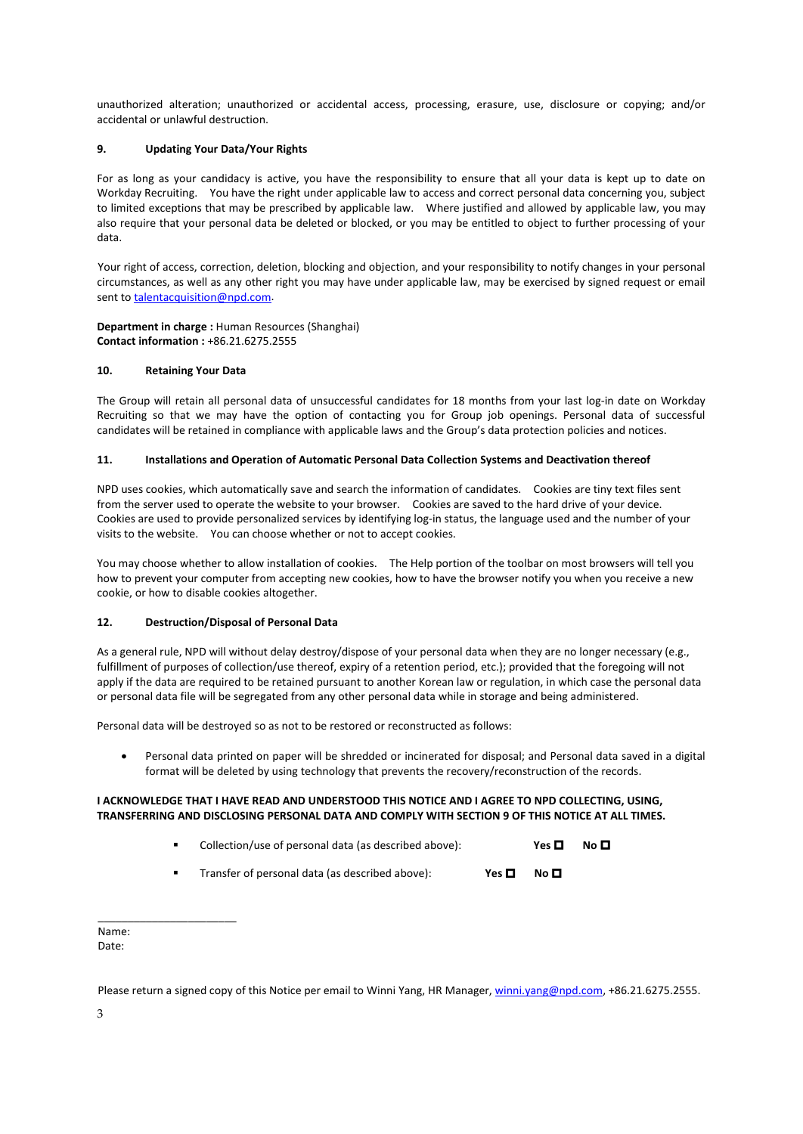unauthorized alteration; unauthorized or accidental access, processing, erasure, use, disclosure or copying; and/or accidental or unlawful destruction.

#### **9. Updating Your Data/Your Rights**

For as long as your candidacy is active, you have the responsibility to ensure that all your data is kept up to date on Workday Recruiting. You have the right under applicable law to access and correct personal data concerning you, subject to limited exceptions that may be prescribed by applicable law. Where justified and allowed by applicable law, you may also require that your personal data be deleted or blocked, or you may be entitled to object to further processing of your data.

Your right of access, correction, deletion, blocking and objection, and your responsibility to notify changes in your personal circumstances, as well as any other right you may have under applicable law, may be exercised by signed request or email sent t[o talentacquisition@npd.com.](mailto:talentacquisition@npd.com)

**Department in charge :** Human Resources (Shanghai) **Contact information :** +86.21.6275.2555

#### **10. Retaining Your Data**

The Group will retain all personal data of unsuccessful candidates for 18 months from your last log-in date on Workday Recruiting so that we may have the option of contacting you for Group job openings. Personal data of successful candidates will be retained in compliance with applicable laws and the Group's data protection policies and notices.

#### **11. Installations and Operation of Automatic Personal Data Collection Systems and Deactivation thereof**

NPD uses cookies, which automatically save and search the information of candidates. Cookies are tiny text files sent from the server used to operate the website to your browser. Cookies are saved to the hard drive of your device. Cookies are used to provide personalized services by identifying log-in status, the language used and the number of your visits to the website. You can choose whether or not to accept cookies.

You may choose whether to allow installation of cookies. The Help portion of the toolbar on most browsers will tell you how to prevent your computer from accepting new cookies, how to have the browser notify you when you receive a new cookie, or how to disable cookies altogether.

#### **12. Destruction/Disposal of Personal Data**

As a general rule, NPD will without delay destroy/dispose of your personal data when they are no longer necessary (e.g., fulfillment of purposes of collection/use thereof, expiry of a retention period, etc.); provided that the foregoing will not apply if the data are required to be retained pursuant to another Korean law or regulation, in which case the personal data or personal data file will be segregated from any other personal data while in storage and being administered.

Personal data will be destroyed so as not to be restored or reconstructed as follows:

• Personal data printed on paper will be shredded or incinerated for disposal; and Personal data saved in a digital format will be deleted by using technology that prevents the recovery/reconstruction of the records.

#### **I ACKNOWLEDGE THAT I HAVE READ AND UNDERSTOOD THIS NOTICE AND I AGREE TO NPD COLLECTING, USING, TRANSFERRING AND DISCLOSING PERSONAL DATA AND COMPLY WITH SECTION 9 OF THIS NOTICE AT ALL TIMES.**

| Collection/use of personal data (as described above): |  | No $\blacksquare$ |
|-------------------------------------------------------|--|-------------------|
|                                                       |  |                   |

**Transfer of personal data (as described above): Yes**  $\Box$  **No**  $\Box$ 

Name:

\_\_\_\_\_\_\_\_\_\_\_\_\_\_\_\_\_\_\_\_\_\_\_

Date:

Please return a signed copy of this Notice per email to Winni Yang, HR Manager[, winni.yang@npd.com,](mailto:winni.yang@npd.com) +86.21.6275.2555.